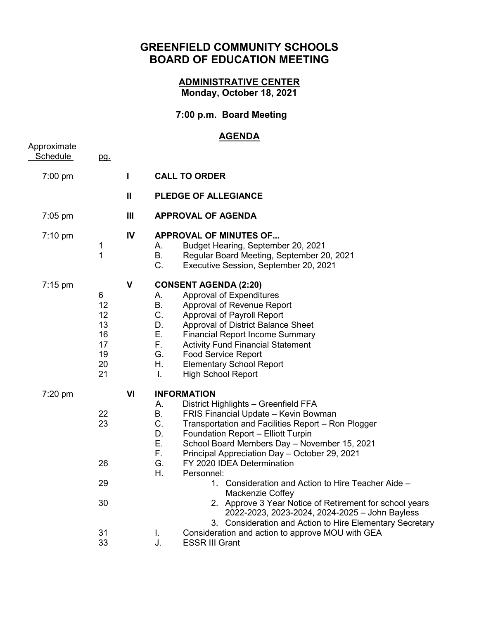## **GREENFIELD COMMUNITY SCHOOLS BOARD OF EDUCATION MEETING**

## **ADMINISTRATIVE CENTER Monday, October 18, 2021**

## **7:00 p.m. Board Meeting**

## **AGENDA**

| Approximate<br>Schedule | pg.                                               |                |                                                                                                                                                                                                                                                                                                                                                                                                                                                                                                                                                                                                                                                |
|-------------------------|---------------------------------------------------|----------------|------------------------------------------------------------------------------------------------------------------------------------------------------------------------------------------------------------------------------------------------------------------------------------------------------------------------------------------------------------------------------------------------------------------------------------------------------------------------------------------------------------------------------------------------------------------------------------------------------------------------------------------------|
| 7:00 pm                 |                                                   | $\mathbf{I}$   | <b>CALL TO ORDER</b>                                                                                                                                                                                                                                                                                                                                                                                                                                                                                                                                                                                                                           |
|                         |                                                   | $\mathbf{H}$   | <b>PLEDGE OF ALLEGIANCE</b>                                                                                                                                                                                                                                                                                                                                                                                                                                                                                                                                                                                                                    |
| $7:05$ pm               |                                                   | $\mathbf{III}$ | <b>APPROVAL OF AGENDA</b>                                                                                                                                                                                                                                                                                                                                                                                                                                                                                                                                                                                                                      |
| $7:10 \text{ pm}$       | 1<br>$\mathbf{1}$                                 | IV             | <b>APPROVAL OF MINUTES OF</b><br>Budget Hearing, September 20, 2021<br>Α.<br><b>B.</b><br>Regular Board Meeting, September 20, 2021<br>$C_{\cdot}$<br>Executive Session, September 20, 2021                                                                                                                                                                                                                                                                                                                                                                                                                                                    |
| $7:15 \text{ pm}$       | 6<br>12<br>12<br>13<br>16<br>17<br>19<br>20<br>21 | $\mathbf{V}$   | <b>CONSENT AGENDA (2:20)</b><br>Approval of Expenditures<br>А.<br><b>B.</b><br>Approval of Revenue Report<br>C.<br>Approval of Payroll Report<br>D.<br>Approval of District Balance Sheet<br>Ε.<br><b>Financial Report Income Summary</b><br>F.<br><b>Activity Fund Financial Statement</b><br>G.<br><b>Food Service Report</b><br>Η.<br><b>Elementary School Report</b><br>I.<br><b>High School Report</b>                                                                                                                                                                                                                                    |
| 7:20 pm                 | 22<br>23<br>26<br>29<br>30                        | VI             | <b>INFORMATION</b><br>District Highlights - Greenfield FFA<br>А.<br>Β.<br>FRIS Financial Update - Kevin Bowman<br>C.<br>Transportation and Facilities Report - Ron Plogger<br>D.<br>Foundation Report - Elliott Turpin<br>Ε.<br>School Board Members Day - November 15, 2021<br>F.<br>Principal Appreciation Day - October 29, 2021<br>G.<br>FY 2020 IDEA Determination<br>Η.<br>Personnel:<br>1. Consideration and Action to Hire Teacher Aide -<br>Mackenzie Coffey<br>2. Approve 3 Year Notice of Retirement for school years<br>2022-2023, 2023-2024, 2024-2025 - John Bayless<br>3. Consideration and Action to Hire Elementary Secretary |
|                         | 31<br>33                                          |                | Consideration and action to approve MOU with GEA<br>Τ.<br><b>ESSR III Grant</b><br>J.                                                                                                                                                                                                                                                                                                                                                                                                                                                                                                                                                          |